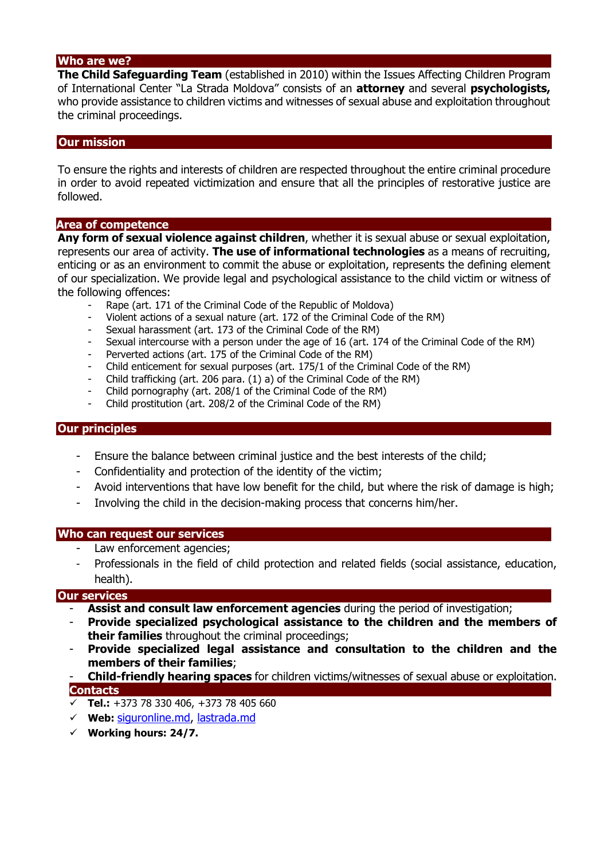#### **Who are we?**

**The Child Safeguarding Team** (established in 2010) within the Issues Affecting Children Program of International Center "La Strada Moldova" consists of an **attorney** and several **psychologists,**  who provide assistance to children victims and witnesses of sexual abuse and exploitation throughout the criminal proceedings.

### **Our mission**

To ensure the rights and interests of children are respected throughout the entire criminal procedure in order to avoid repeated victimization and ensure that all the principles of restorative justice are followed.

#### **Area of competence**

**Any form of sexual violence against children**, whether it is sexual abuse or sexual exploitation, represents our area of activity. **The use of informational technologies** as a means of recruiting, enticing or as an environment to commit the abuse or exploitation, represents the defining element of our specialization. We provide legal and psychological assistance to the child victim or witness of the following offences:

- Rape (art. 171 of the Criminal Code of the Republic of Moldova)
- Violent actions of a sexual nature (art. 172 of the Criminal Code of the RM)
- Sexual harassment (art. 173 of the Criminal Code of the RM)
- Sexual intercourse with a person under the age of 16 (art. 174 of the Criminal Code of the RM)
- Perverted actions (art. 175 of the Criminal Code of the RM)
- Child enticement for sexual purposes (art. 175/1 of the Criminal Code of the RM)
- Child trafficking (art. 206 para. (1) a) of the Criminal Code of the RM)
- Child pornography (art. 208/1 of the Criminal Code of the RM)
- Child prostitution (art. 208/2 of the Criminal Code of the RM)

#### **Our principles**

- Ensure the balance between criminal justice and the best interests of the child;
- Confidentiality and protection of the identity of the victim;
- Avoid interventions that have low benefit for the child, but where the risk of damage is high;
- Involving the child in the decision-making process that concerns him/her.

#### **Who can request our services**

- Law enforcement agencies;
- Professionals in the field of child protection and related fields (social assistance, education, health).

#### **Our services**

- **Assist and consult law enforcement agencies** during the period of investigation;
- **Provide specialized psychological assistance to the children and the members of their families** throughout the criminal proceedings;
- **Provide specialized legal assistance and consultation to the children and the members of their families**;
- **Child-friendly hearing spaces** for children victims/witnesses of sexual abuse or exploitation. **Contacts**
- $\overline{\smile}$  **Tel.:** +373 78 330 406, +373 78 405 660
- **Web:** [siguronline.md,](http://lastrada.md/) lastrada.md
- **Working hours: 24/7.**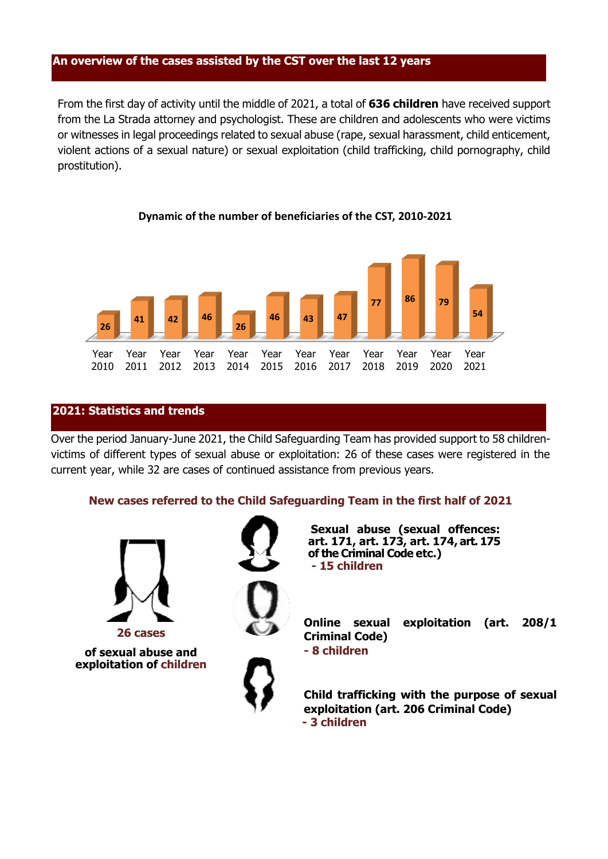#### **An overview of the cases assisted by the CST over the last 12 years**

From the first day of activity until the middle of 2021, a total of **636 children** have received support from the La Strada attorney and psychologist. These are children and adolescents who were victims or witnesses in legal proceedings related to sexual abuse (rape, sexual harassment, child enticement, violent actions of a sexual nature) or sexual exploitation (child trafficking, child pornography, child prostitution).



### **Dynamic of the number of beneficiaries of the CST, 2010-2021**

### **2021: Statistics and trends**

Over the period January-June 2021, the Child Safeguarding Team has provided support to 58 childrenvictims of different types of sexual abuse or exploitation: 26 of these cases were registered in the current year, while 32 are cases of continued assistance from previous years.

#### **New cases referred to the Child Safeguarding Team in the first half of 2021**

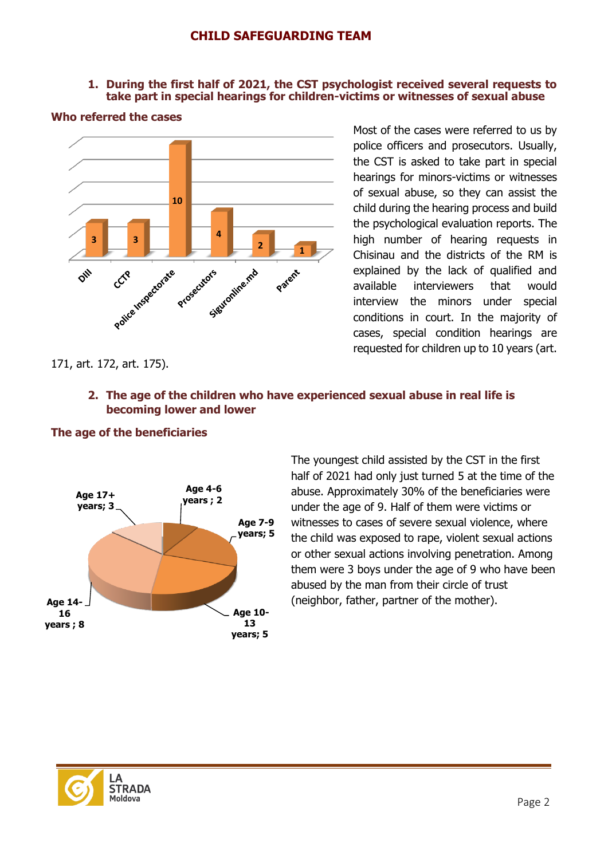### **1. During the first half of 2021, the CST psychologist received several requests to take part in special hearings for children-victims or witnesses of sexual abuse**

#### **Who referred the cases**



Most of the cases were referred to us by police officers and prosecutors. Usually, the CST is asked to take part in special hearings for minors-victims or witnesses of sexual abuse, so they can assist the child during the hearing process and build the psychological evaluation reports. The high number of hearing requests in Chisinau and the districts of the RM is explained by the lack of qualified and available interviewers that would interview the minors under special conditions in court. In the majority of cases, special condition hearings are requested for children up to 10 years (art.

### 171, art. 172, art. 175).

# **2. The age of the children who have experienced sexual abuse in real life is becoming lower and lower**

### **The age of the beneficiaries**



The youngest child assisted by the CST in the first half of 2021 had only just turned 5 at the time of the abuse. Approximately 30% of the beneficiaries were under the age of 9. Half of them were victims or witnesses to cases of severe sexual violence, where the child was exposed to rape, violent sexual actions or other sexual actions involving penetration. Among them were 3 boys under the age of 9 who have been abused by the man from their circle of trust (neighbor, father, partner of the mother).